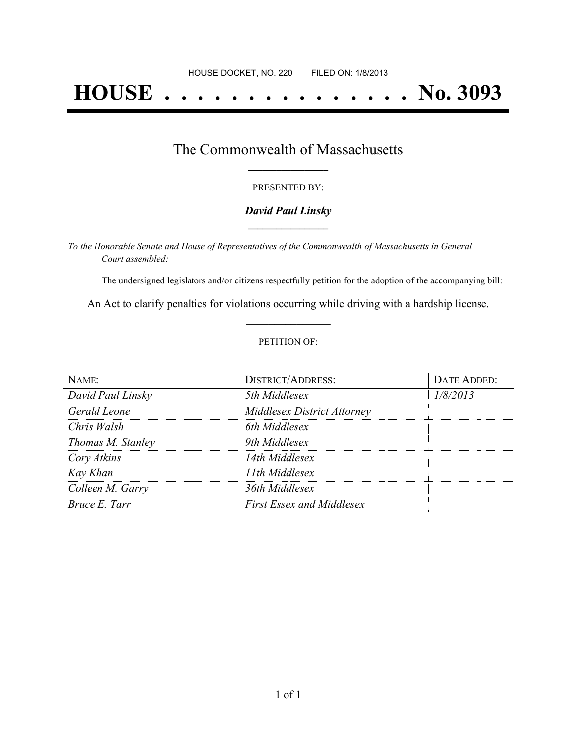# **HOUSE . . . . . . . . . . . . . . . No. 3093**

## The Commonwealth of Massachusetts **\_\_\_\_\_\_\_\_\_\_\_\_\_\_\_\_\_**

#### PRESENTED BY:

#### *David Paul Linsky* **\_\_\_\_\_\_\_\_\_\_\_\_\_\_\_\_\_**

*To the Honorable Senate and House of Representatives of the Commonwealth of Massachusetts in General Court assembled:*

The undersigned legislators and/or citizens respectfully petition for the adoption of the accompanying bill:

An Act to clarify penalties for violations occurring while driving with a hardship license. **\_\_\_\_\_\_\_\_\_\_\_\_\_\_\_**

#### PETITION OF:

| NAME:             | <b>DISTRICT/ADDRESS:</b>           | DATE ADDED: |
|-------------------|------------------------------------|-------------|
| David Paul Linsky | 5th Middlesex                      | 1/8/2013    |
| Gerald Leone      | <b>Middlesex District Attorney</b> |             |
| Chris Walsh       | 6th Middlesex                      |             |
| Thomas M. Stanley | 9th Middlesex                      |             |
| Cory Atkins       | 14th Middlesex                     |             |
| Kay Khan          | 11th Middlesex                     |             |
| Colleen M. Garry  | 36th Middlesex                     |             |
| Bruce E. Tarr     | <b>First Essex and Middlesex</b>   |             |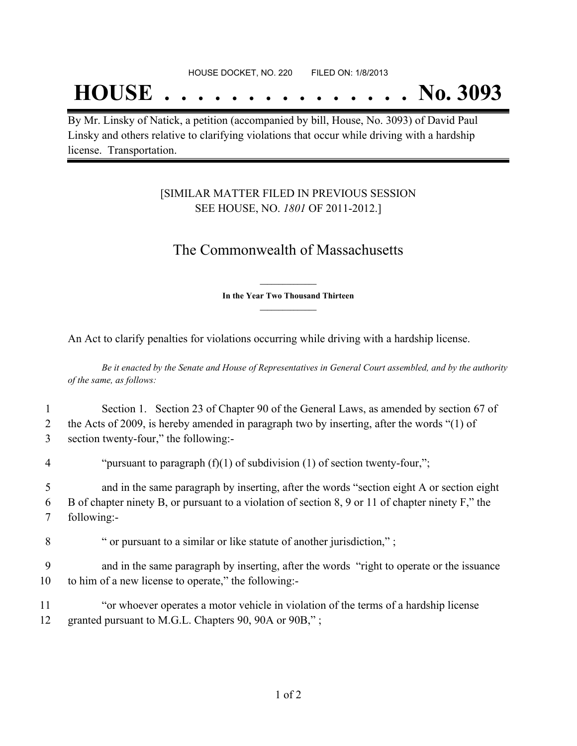## **HOUSE . . . . . . . . . . . . . . . No. 3093**

By Mr. Linsky of Natick, a petition (accompanied by bill, House, No. 3093) of David Paul Linsky and others relative to clarifying violations that occur while driving with a hardship license. Transportation.

### [SIMILAR MATTER FILED IN PREVIOUS SESSION SEE HOUSE, NO. *1801* OF 2011-2012.]

## The Commonwealth of Massachusetts

**\_\_\_\_\_\_\_\_\_\_\_\_\_\_\_ In the Year Two Thousand Thirteen \_\_\_\_\_\_\_\_\_\_\_\_\_\_\_**

An Act to clarify penalties for violations occurring while driving with a hardship license.

Be it enacted by the Senate and House of Representatives in General Court assembled, and by the authority *of the same, as follows:*

|                | Section 1. Section 23 of Chapter 90 of the General Laws, as amended by section 67 of              |
|----------------|---------------------------------------------------------------------------------------------------|
| 2              | the Acts of 2009, is hereby amended in paragraph two by inserting, after the words "(1) of        |
| 3              | section twenty-four," the following:-                                                             |
| $\overline{4}$ | "pursuant to paragraph $(f)(1)$ of subdivision $(1)$ of section twenty-four,";                    |
| 5              | and in the same paragraph by inserting, after the words "section eight A or section eight         |
| 6              | B of chapter ninety B, or pursuant to a violation of section 8, 9 or 11 of chapter ninety F," the |
| 7              | following:-                                                                                       |
| 8              | " or pursuant to a similar or like statute of another jurisdiction,";                             |
| $\Omega$       |                                                                                                   |

9 and in the same paragraph by inserting, after the words "right to operate or the issuance 10 to him of a new license to operate," the following:-

11 "or whoever operates a motor vehicle in violation of the terms of a hardship license 12 granted pursuant to M.G.L. Chapters 90, 90A or 90B,";